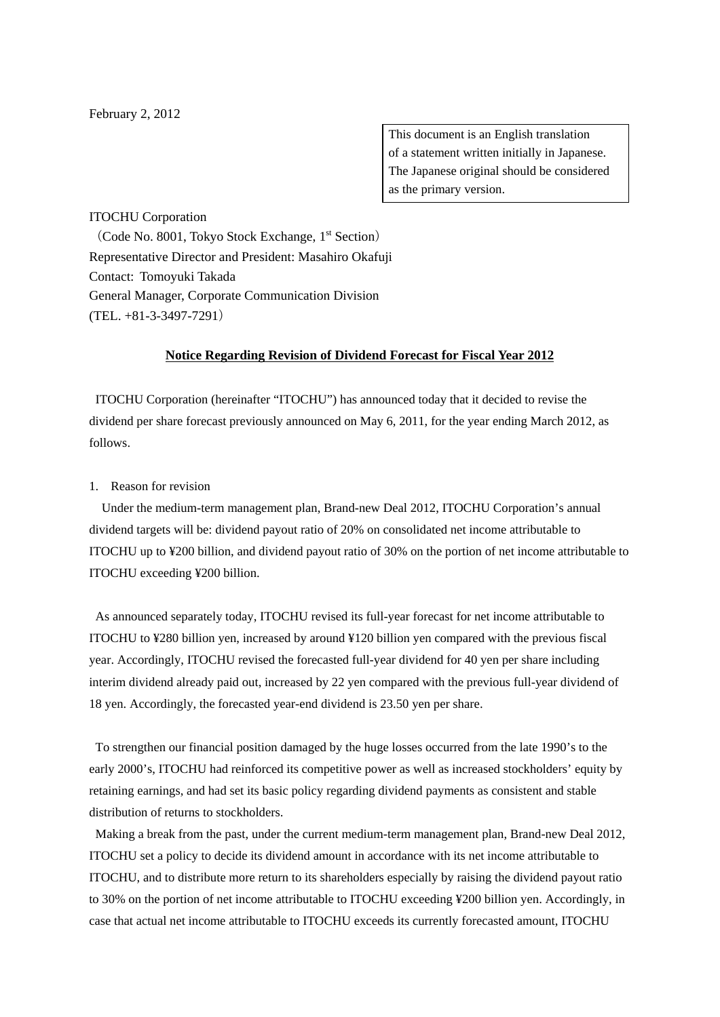## February 2, 2012

This document is an English translation of a statement written initially in Japanese. The Japanese original should be considered as the primary version.

## ITOCHU Corporation

(Code No. 8001, Tokyo Stock Exchange,  $1<sup>st</sup>$  Section) Representative Director and President: Masahiro Okafuji Contact: Tomoyuki Takada General Manager, Corporate Communication Division  $(TEL + 81 - 3 - 3497 - 7291)$ 

## **Notice Regarding Revision of Dividend Forecast for Fiscal Year 2012**

ITOCHU Corporation (hereinafter "ITOCHU") has announced today that it decided to revise the dividend per share forecast previously announced on May 6, 2011, for the year ending March 2012, as follows.

## 1. Reason for revision

Under the medium-term management plan, Brand-new Deal 2012, ITOCHU Corporation's annual dividend targets will be: dividend payout ratio of 20% on consolidated net income attributable to ITOCHU up to ¥200 billion, and dividend payout ratio of 30% on the portion of net income attributable to ITOCHU exceeding ¥200 billion.

As announced separately today, ITOCHU revised its full-year forecast for net income attributable to ITOCHU to ¥280 billion yen, increased by around ¥120 billion yen compared with the previous fiscal year. Accordingly, ITOCHU revised the forecasted full-year dividend for 40 yen per share including interim dividend already paid out, increased by 22 yen compared with the previous full-year dividend of 18 yen. Accordingly, the forecasted year-end dividend is 23.50 yen per share.

To strengthen our financial position damaged by the huge losses occurred from the late 1990's to the early 2000's, ITOCHU had reinforced its competitive power as well as increased stockholders' equity by retaining earnings, and had set its basic policy regarding dividend payments as consistent and stable distribution of returns to stockholders.

Making a break from the past, under the current medium-term management plan, Brand-new Deal 2012, ITOCHU set a policy to decide its dividend amount in accordance with its net income attributable to ITOCHU, and to distribute more return to its shareholders especially by raising the dividend payout ratio to 30% on the portion of net income attributable to ITOCHU exceeding ¥200 billion yen. Accordingly, in case that actual net income attributable to ITOCHU exceeds its currently forecasted amount, ITOCHU